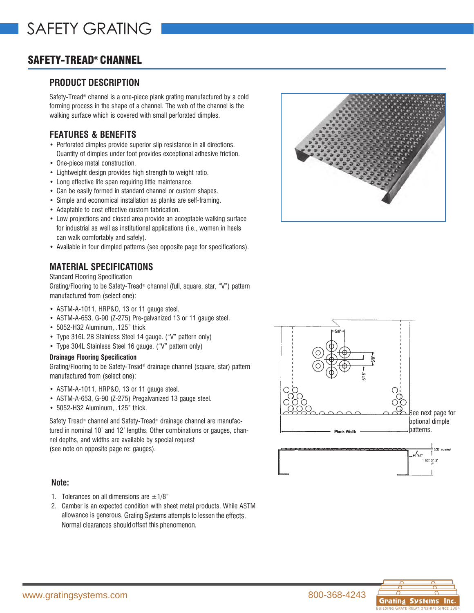# SAFETY-TREAD® CHANNEL

# **PRODUCT DESCRIPTION**

Safety-Tread® channel is a one-piece plank grating manufactured by a cold forming process in the shape of a channel. The web of the channel is the walking surface which is covered with small perforated dimples.

# **FEATURES & BENEFITS**

- Perforated dimples provide superior slip resistance in all directions. Quantity of dimples under foot provides exceptional adhesive friction.
- One-piece metal construction.
- Lightweight design provides high strength to weight ratio.
- Long effective life span requiring little maintenance.
- Can be easily formed in standard channel or custom shapes.
- Simple and economical installation as planks are self-framing.
- Adaptable to cost effective custom fabrication.
- Low projections and closed area provide an acceptable walking surface for industrial as well as institutional applications (i.e., women in heels can walk comfortably and safely).
- Available in four dimpled patterns (see opposite page for specifications).

## **MATERIAL SPECIFICATIONS**

### Standard Flooring Specification

Grating/Flooring to be Safety-Tread® channel (full, square, star, "V") pattern manufactured from (select one):

- ASTM-A-1011, HRP&O, 13 or 11 gauge steel.
- ASTM-A-653, G-90 (Z-275) Pre-galvanized 13 or 11 gauge steel.
- 5052-H32 Aluminum, .125" thick
- Type 316L 2B Stainless Steel 14 gauge. ("V" pattern only)
- Type 304L Stainless Steel 16 gauge. ("V" pattern only)

#### **Drainage Flooring Specification**

Grating/Flooring to be Safety-Tread® drainage channel (square, star) pattern manufactured from (select one):

- ASTM-A-1011, HRP&O, 13 or 11 gauge steel.
- ASTM-A-653, G-90 (Z-275) Pregalvanized 13 gauge steel.
- 5052-H32 Aluminum, .125" thick.

Safety Tread® channel and Safety-Tread® drainage channel are manufactured in nominal 10' and 12' lengths. Other combinations or gauges, channel depths, and widths are available by special request (see note on opposite page re: gauges).

### **Note:**

- 1. Tolerances on all dimensions are  $\pm$ 1/8"
- 2. Camber is an expected condition with sheet metal products. While ASTM allowance is generous, Grating Systems attempts to lessen the effects. Normal clearances should offset this phenomenon.





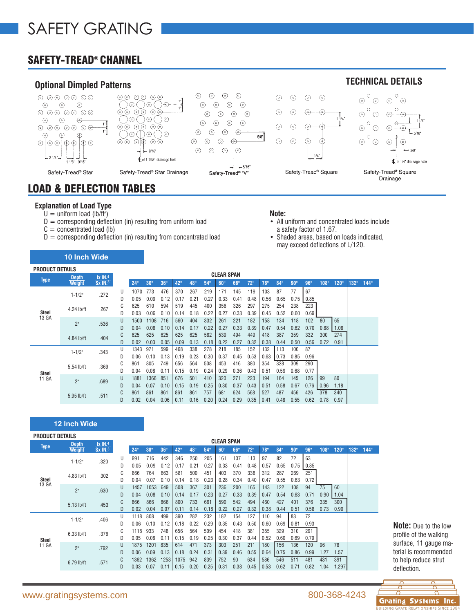# SAFETY-TREAD® CHANNEL



# LOAD & DEFLECTION TABLES

#### **Explanation of Load Type**

- $U =$  uniform load (lb/ft<sup>2</sup>)
- $D =$  corresponding deflection (in) resulting from uniform load
- $C =$  concentrated load (lb)

**10 Inch Wide** 

 $D =$  corresponding deflection (in) resulting from concentrated load

#### **Note:**

- All uniform and concentrated loads include a safety factor of 1.67.
- Shaded areas, based on loads indicated, may exceed deflections of L/120.

| <b>PRODUCT DETAILS</b> |                     |                       |                   |      |      |      |      |      |      |      |      |      |                 |      |      |      |      |      |      |      |
|------------------------|---------------------|-----------------------|-------------------|------|------|------|------|------|------|------|------|------|-----------------|------|------|------|------|------|------|------|
|                        | <b>Depth</b>        | $1x$ IN. <sup>4</sup> | <b>CLEAR SPAN</b> |      |      |      |      |      |      |      |      |      |                 |      |      |      |      |      |      |      |
| Type                   | <b>Weight</b>       | $Sx$ IN. $3$          |                   | 24"  | 30"  | 36"  | 42"  | 48"  | 54"  | 60"  | 66"  | 72"  | 78 <sup>°</sup> | 84"  | 90"  | 96"  | 108" | 120" | 132" | 144" |
|                        | $1 - 1/2$ "         | .272                  | U                 | 1070 | 773  | 476  | 370  | 267  | 219  | 171  | 145  | 119  | 103             | 87   | 77   | 67   |      |      |      |      |
|                        |                     |                       | D                 | 0.05 | 0.09 | 0.12 | 0.17 | 0.21 | 0.27 | 0.33 | 0.41 | 0.48 | 0.56            | 0.65 | 0.75 | 0.85 |      |      |      |      |
|                        | 4.24 lb/ft<br>Steel | .267                  | C                 | 625  | 610  | 594  | 519  | 445  | 400  | 356  | 326  | 297  | 275             | 254  | 238  | 223  |      |      |      |      |
|                        |                     |                       | D                 | 0.03 | 0.06 | 0.10 | 0.14 | 0.18 | 0.22 | 0.27 | 0.33 | 0.39 | 0.45            | 0.52 | 0.60 | 0.69 |      |      |      |      |
| 13 GA<br>2"            |                     | .536                  | U                 | 1500 | 1108 | 716  | 560  | 404  | 332  | 261  | 221  | 182  | 158             | 134  | 118  | 102  | 80   | 65   |      |      |
|                        |                     |                       | D                 | 0.04 | 0.08 | 0.10 | 0.14 | 0.17 | 0.22 | 0.27 | 0.33 | 0.39 | 0.47            | 0.54 | 0.62 | 0.70 | 0.88 | 1.08 |      |      |
|                        | 4.84 lb/ft          | .404                  | U                 | 625  | 625  | 625  | 625  | 625  | 582  | 539  | 494  | 449  | 418             | 387  | 359  | 332  | 300  | 274  |      |      |
|                        |                     |                       |                   | 0.02 | 0.03 | 0.05 | 0.09 | 0.13 | 0.18 | 0.22 | 0.27 | 0.32 | 0.38            | 0.44 | 0.50 | 0.56 | 0.72 | 0.91 |      |      |
|                        | $1 - 1/2"$          | .343                  | U                 | 1343 | 971  | 599  | 468  | 338  | 278  | 218  | 185  | 152  | 132             | 113  | 100  | 87   |      |      |      |      |
|                        |                     |                       |                   | 0.06 | 0.10 | 0.13 | 0.19 | 0.23 | 0.30 | 0.37 | 0.45 | 0.53 | 0.63            | 0.73 | 0.85 | 0.96 |      |      |      |      |
| Steel<br>11 GA         | 5.54 lb/ft          | .369                  | U                 | 861  | 805  | 749  | 656  | 564  | 508  | 453  | 416  | 380  | 354             | 328  | 309  | 290  |      |      |      |      |
|                        |                     |                       |                   | 0.04 | 0.08 | 0.11 | 0.15 | 0.19 | 0.24 | 0.29 | 0.36 | 0.43 | 0.51            | 0.59 | 0.68 | 0.77 |      |      |      |      |
|                        | 2"                  | .689                  |                   | 1881 | 1366 | 851  | 676  | 501  | 410  | 320  | 271  | 223  | 194             | 164  | 145  | 126  | 99   | 80   |      |      |
|                        |                     |                       |                   | 0.04 | 0.07 | 0.10 | 0.15 | 0.19 | 0.25 | 0.30 | 0.37 | 0.43 | 0.51            | 0.58 | 0.67 | 0.76 | 0.96 | 1.18 |      |      |
|                        | 5.95 lb/ft          | .511                  | C                 | 861  | 861  | 861  | 861  | 861  | 757  | 681  | 624  | 568  | 527             | 487  | 456  | 426  | 378  | 340  |      |      |
|                        |                     |                       |                   | 0.02 | 0.04 | 0.06 | 0.11 | 0.16 | 0.20 | 0.24 | 0.29 | 0.35 | 0.41            | 0.48 | 0.55 | 0.62 | 0.78 | 0.97 |      |      |

### **12 Inch Wide**

| <b>PRODUCT DETAILS</b> |               |                       |   |      |                 |      |      |      |      |                   |      |      |      |                 |      |      |      |       |      |      |
|------------------------|---------------|-----------------------|---|------|-----------------|------|------|------|------|-------------------|------|------|------|-----------------|------|------|------|-------|------|------|
|                        | <b>Depth</b>  | $1x$ IN. <sup>4</sup> |   |      |                 |      |      |      |      | <b>CLEAR SPAN</b> |      |      |      |                 |      |      |      |       |      |      |
| <b>Type</b>            | <b>Weight</b> | Sx IN.3               |   | 24"  | 30 <sup>o</sup> | 36"  | 42"  | 48"  | 54"  | 60"               | 66"  | 72"  | 78"  | 84 <sup>0</sup> | 90"  | 96"  | 108" | 120"  | 132" | 144" |
|                        | $1 - 1/2"$    | .320                  | U | 991  | 716             | 442  | 346  | 250  | 205  | 161               | 137  | 113  | 97   | 82              | 72   | 63   |      |       |      |      |
|                        |               |                       | D | 0.05 | 0.09            | 0.12 | 0.17 | 0.21 | 0.27 | 0.33              | 0.41 | 0.48 | 0.57 | 0.65            | 0.75 | 0.85 |      |       |      |      |
|                        | 4.83 lb/ft    | .302                  | C | 866  | 764             | 663  | 581  | 500  | 451  | 403               | 370  | 338  | 312  | 287             | 269  | 251  |      |       |      |      |
| Steel<br>13 GA         |               |                       | D | 0.04 | 0.07            | 0.10 | 0.14 | 0.18 | 0.23 | 0.28              | 0.34 | 0.40 | 0.47 | 0.55            | 0.63 | 0.72 |      |       |      |      |
|                        | 2"            | .630                  | U | 1457 | 1053            | 649  | 508  | 367  | 301  | 236               | 200  | 165  | 143  | 122             | 108  | 94   | 75   | 60    |      |      |
|                        |               |                       | D | 0.04 | 0.08            | 0.10 | 0.14 | 0.17 | 0.23 | 0.27              | 0.33 | 0.39 | 0.47 | 0.54            | 0.63 | 0.71 | 0.90 | 1.04  |      |      |
|                        | $5.13$ lb/ft  | .453                  | C | 866  | 866             | 866  | 800  | 733  | 661  | 590               | 542  | 494  | 460  | 427             | 401  | 376  | 335  | 300   |      |      |
|                        |               |                       | D | 0.02 | 0.04            | 0.07 | 0.11 | 0.14 | 0.18 | 0.22              | 0.27 | 0.32 | 0.38 | 0.44            | 0.51 | 0.58 | 0.73 | 0.90  |      |      |
|                        | $1 - 1/2"$    | .406                  | U | 1118 | 808             | 499  | 390  | 282  | 232  | 182               | 154  | 127  | 110  | 94              | 83   | 72   |      |       |      |      |
|                        |               |                       | D | 0.06 | 0.10            | 0.12 | 0.18 | 0.22 | 0.29 | 0.35              | 0.43 | 0.50 | 0.60 | 0.69            | 0.81 | 0.93 |      |       |      |      |
|                        | $6.33$ lb/ft  | .376                  | C | 1118 | 933             | 748  | 656  | 564  | 509  | 454               | 418  | 381  | 355  | 329             | 310  | 291  |      |       |      |      |
| Steel                  |               |                       | D | 0.05 | 0.08            | 0.11 | 0.15 | 0.19 | 0.25 | 0.30              | 0.37 | 0.44 | 0.52 | 0.60            | 0.69 | 0.79 |      |       |      |      |
| 11 GA                  | 2"            | .792                  | U | 1875 | 1201            | 835  | 614  | 471  | 373  | 303               | 251  | 211  | 180  | 156             | 136  | 120  | 96   | 78    |      |      |
|                        |               |                       | D | 0.06 | 0.09            | 0.13 | 0.18 | 0.24 | 0.31 | 0.39              | 0.46 | 0.55 | 0.64 | 0.75            | 0.86 | 0.99 | 1.27 | 1.57  |      |      |
|                        | 6.79 lb/ft    | .571                  |   | 1362 | 1362            | 1253 | 1075 | 942  | 839  | 752               | 90   | 634  | 586  | 546             | 511  | 481  | 431  | 391   |      |      |
|                        |               |                       | D | 0.03 | 0.07            | 0.11 | 0.15 | 0.20 | 0.25 | 0.31              | 0.38 | 0.45 | 0.53 | 0.62            | 0.71 | 0.82 | 1.04 | 1.297 |      |      |

**Note:** Due to the low profile of the walking surface, 11 gauge material is recommended to help reduce strut deflection.

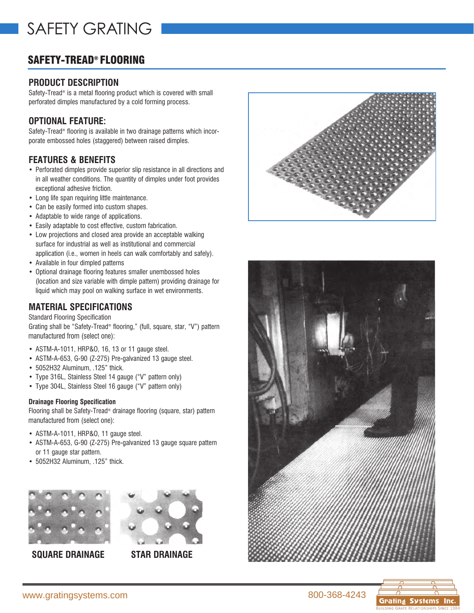# SAFETY-TREAD® FLOORING

# **PRODUCT DESCRIPTION**

Safety-Tread® is a metal flooring product which is covered with small perforated dimples manufactured by a cold forming process.

# **OPTIONAL FEATURE:**

Safety-Tread® flooring is available in two drainage patterns which incorporate embossed holes (staggered) between raised dimples.

# **FEATURES & BENEFITS**

- Perforated dimples provide superior slip resistance in all directions and in all weather conditions. The quantity of dimples under foot provides exceptional adhesive friction.
- Long life span requiring little maintenance.
- Can be easily formed into custom shapes.
- Adaptable to wide range of applications.
- Easily adaptable to cost effective, custom fabrication.
- Low projections and closed area provide an acceptable walking surface for industrial as well as institutional and commercial application (i.e., women in heels can walk comfortably and safely).
- Available in four dimpled patterns
- Optional drainage flooring features smaller unembossed holes (location and size variable with dimple pattern) providing drainage for liquid which may pool on walking surface in wet environments.

## **MATERIAL SPECIFICATIONS**

### Standard Flooring Specification

Grating shall be "Safety-Tread® flooring," (full, square, star, "V") pattern manufactured from (select one):

- ASTM-A-1011, HRP&O, 16, 13 or 11 gauge steel.
- ASTM-A-653, G-90 (Z-275) Pre-galvanized 13 gauge steel.
- 5052H32 Aluminum, .125" thick.
- Type 316L, Stainless Steel 14 gauge ("V" pattern only)
- Type 304L, Stainless Steel 16 gauge ("V" pattern only)

### **Drainage Flooring Specification**

Flooring shall be Safety-Tread<sup>®</sup> drainage flooring (square, star) pattern manufactured from (select one):

- ASTM-A-1011, HRP&O, 11 gauge steel.
- ASTM-A-653, G-90 (Z-275) Pre-galvanized 13 gauge square pattern or 11 gauge star pattern.
- 5052H32 Aluminum, .125" thick.



**SQUARE DRAINAGE STAR DRAINAGE**